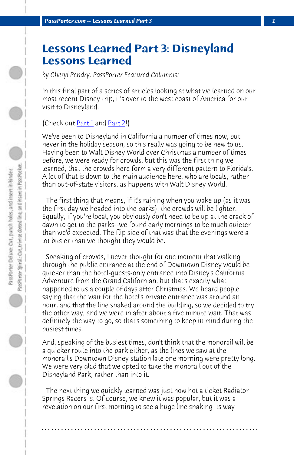*PassPorter.com -- Lessons Learned Part 3 1*

## **Lessons Learned Part 3: Disneyland Lessons Learned**

*by Cheryl Pendry, PassPorter Featured Columnist*

In this final part of a series of articles looking at what we learned on our most recent Disney trip, it's over to the west coast of America for our visit to Disneyland.

## (Check out Part 1 and Part 2!)

We've been to Disneyland in California a number of times now, but never in the holiday season, so this really was going to be new to us. Having been to Walt Disney World over Christmas a number of times before, we were ready for crowds, but this was the first thing we learned, that the crowds here form a very different pattern to Florida's. A lot of that is down to the main audience here, who are locals, rather than out-of-state visitors, as happens with Walt Disney World.

 The first thing that means, if it's raining when you wake up (as it was the first day we headed into the parks); the crowds will be lighter. Equally, if you're local, you obviously don't need to be up at the crack of dawn to get to the parks--we found early mornings to be much quieter than we'd expected. The flip side of that was that the evenings were a lot busier than we thought they would be.

 Speaking of crowds, I never thought for one moment that walking through the public entrance at the end of Downtown Disney would be quicker than the hotel-guests-only entrance into Disney's California Adventure from the Grand Californian, but that's exactly what happened to us a couple of days after Christmas. We heard people saying that the wait for the hotel's private entrance was around an hour, and that the line snaked around the building, so we decided to try the other way, and we were in after about a five minute wait. That was definitely the way to go, so that's something to keep in mind during the busiest times.

And, speaking of the busiest times, don't think that the monorail will be a quicker route into the park either, as the lines we saw at the monorail's Downtown Disney station late one morning were pretty long. We were very glad that we opted to take the monorail out of the Disneyland Park, rather than into it.

 The next thing we quickly learned was just how hot a ticket Radiator Springs Racers is. Of course, we knew it was popular, but it was a revelation on our first morning to see a huge line snaking its way

**. . . . . . . . . . . . . . . . . . . . . . . . . . . . . . . . . . . . . . . . . . . . . . . . . . . . . . . . . . . . . . . . . .**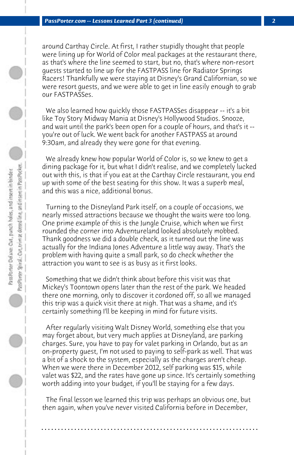around Carthay Circle. At first, I rather stupidly thought that people were lining up for World of Color meal packages at the restaurant there, as that's where the line seemed to start, but no, that's where non-resort guests started to line up for the FASTPASS line for Radiator Springs Racers! Thankfully we were staying at Disney's Grand Californian, so we were resort guests, and we were able to get in line easily enough to grab our FASTPASSes.

 We also learned how quickly those FASTPASSes disappear -- it's a bit like Toy Story Midway Mania at Disney's Hollywood Studios. Snooze, and wait until the park's been open for a couple of hours, and that's it - you're out of luck. We went back for another FASTPASS at around 9:30am, and already they were gone for that evening.

 We already knew how popular World of Color is, so we knew to get a dining package for it, but what I didn't realise, and we completely lucked out with this, is that if you eat at the Carthay Circle restaurant, you end up with some of the best seating for this show. It was a superb meal, and this was a nice, additional bonus.

 Turning to the Disneyland Park itself, on a couple of occasions, we nearly missed attractions because we thought the waits were too long. One prime example of this is the Jungle Cruise, which when we first rounded the corner into Adventureland looked absolutely mobbed. Thank goodness we did a double check, as it turned out the line was actually for the Indiana Jones Adventure a little way away. That's the problem with having quite a small park, so do check whether the attraction you want to see is as busy as it first looks.

 Something that we didn't think about before this visit was that Mickey's Toontown opens later than the rest of the park. We headed there one morning, only to discover it cordoned off, so all we managed this trip was a quick visit there at nigh. That was a shame, and it's certainly something I'll be keeping in mind for future visits.

 After regularly visiting Walt Disney World, something else that you may forget about, but very much applies at Disneyland, are parking charges. Sure, you have to pay for valet parking in Orlando, but as an on-property guest, I'm not used to paying to self-park as well. That was a bit of a shock to the system, especially as the charges aren't cheap. When we were there in December 2012, self parking was \$15, while valet was \$22, and the rates have gone up since. It's certainly something worth adding into your budget, if you'll be staying for a few days.

 The final lesson we learned this trip was perhaps an obvious one, but then again, when you've never visited California before in December,

**. . . . . . . . . . . . . . . . . . . . . . . . . . . . . . . . . . . . . . . . . . . . . . . . . . . . . . . . . . . . . . . . . .**